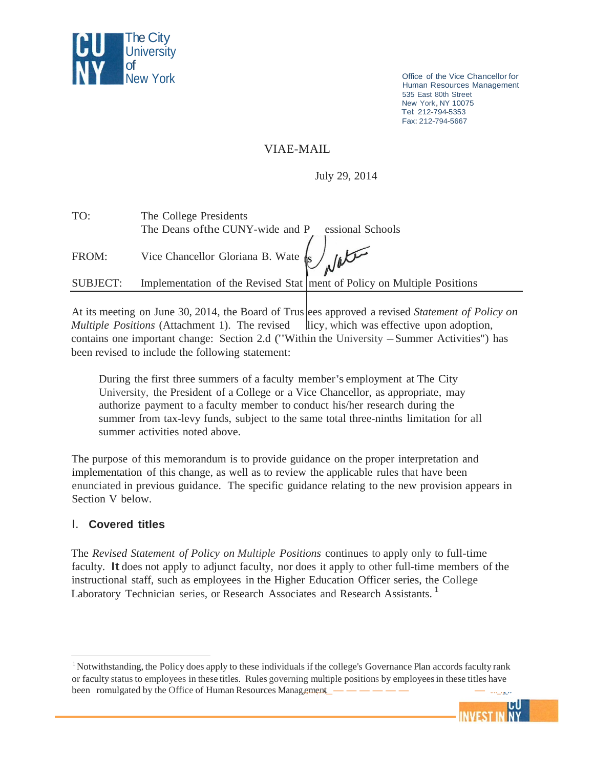

Office of the Vice Chancellor for Human Resources Management 535 East 80th Street New York,NY <sup>10075</sup> Tel: 212-794-5353 Fax: 212-794-5667

## VIAE-MAIL

July 29, 2014

| TO:      | The College Presidents                                |                                                                           |
|----------|-------------------------------------------------------|---------------------------------------------------------------------------|
|          | The Deans of the CUNY-wide and P essional Schools     |                                                                           |
| FROM:    | Vice Chancellor Gloriana B. Wate $\sqrt{\frac{1}{2}}$ |                                                                           |
| SUBJECT: |                                                       | Implementation of the Revised Stat   ment of Policy on Multiple Positions |
|          |                                                       |                                                                           |

At its meeting on June 30, 2014, the Board of Trus ees approved a revised *Statement of Policy on Multiple Positions* (Attachment 1). The revised licy, which was effective upon adoption, contains one important change: Section 2.d ("Within the University -Summer Activities") has been revised to include the following statement:

During the first three summers of a faculty member's employment at The City University, the President of a College or a Vice Chancellor, as appropriate, may authorize payment to a faculty member to conduct his/her research during the summer from tax-levy funds, subject to the same total three-ninths limitation for all summer activities noted above.

The purpose of this memorandum is to provide guidance on the proper interpretation and implementation of this change, as well as to review the applicable rules that have been enunciated in previous guidance. The specific guidance relating to the new provision appears in Section V below.

#### I. **Covered titles**

The *Revised Statement of Policy on Multiple Positions* continues to apply only to full-time faculty. It does not apply to adjunct faculty, nor does it apply to other full-time members of the instructional staff, such as employees in the Higher Education Officer series, the College Laboratory Technician series, or Research Associates and Research Assistants.<sup>1</sup>

<sup>&</sup>lt;sup>1</sup> Notwithstanding, the Policy does apply to these individuals if the college's Governance Plan accords faculty rank or faculty status to employees in these titles. Rules governing multiple positions by employeesin these titles have been romulgated by the Office of Human Resources Management ..\_------ -....\_., \_..

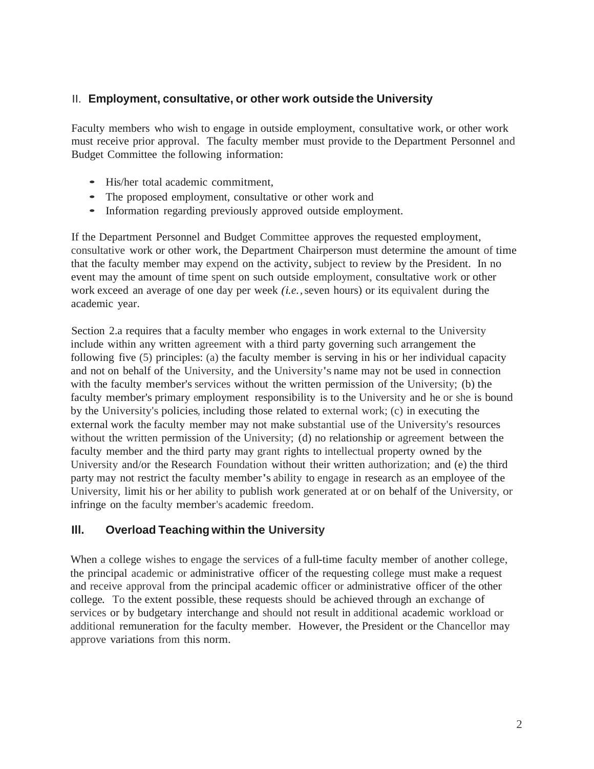## II. **Employment, consultative, or other work outside the University**

Faculty members who wish to engage in outside employment, consultative work, or other work must receive prior approval. The faculty member must provide to the Department Personnel and Budget Committee the following information:

- His/her total academic commitment,
- The proposed employment, consultative or other work and
- Information regarding previously approved outside employment.

If the Department Personnel and Budget Committee approves the requested employment, consultative work or other work, the Department Chairperson must determine the amount of time that the faculty member may expend on the activity, subject to review by the President. In no event may the amount of time spent on such outside employment, consultative work or other work exceed an average of one day per week *(i.e.,*seven hours) or its equivalent during the academic year.

Section 2.a requires that a faculty member who engages in work external to the University include within any written agreement with a third party governing such arrangement the following five (5) principles: (a) the faculty member is serving in his or her individual capacity and not on behalf of the University, and the University's name may not be used in connection with the faculty member's services without the written permission of the University; (b) the faculty member's primary employment responsibility is to the University and he or she is bound by the University's policies, including those related to external work; (c) in executing the external work the faculty member may not make substantial use of the University's resources without the written permission of the University; (d) no relationship or agreement between the faculty member and the third party may grant rights to intellectual property owned by the University and/or the Research Foundation without their written authorization; and (e) the third party may not restrict the faculty member's ability to engage in research as an employee of the University, limit his or her ability to publish work generated at or on behalf of the University, or infringe on the faculty member's academic freedom.

## **Ill. Overload Teaching within the University**

When a college wishes to engage the services of a full-time faculty member of another college, the principal academic or administrative officer of the requesting college must make a request and receive approval from the principal academic officer or administrative officer of the other college. To the extent possible, these requests should be achieved through an exchange of services or by budgetary interchange and should not result in additional academic workload or additional remuneration for the faculty member. However, the President or the Chancellor may approve variations from this norm.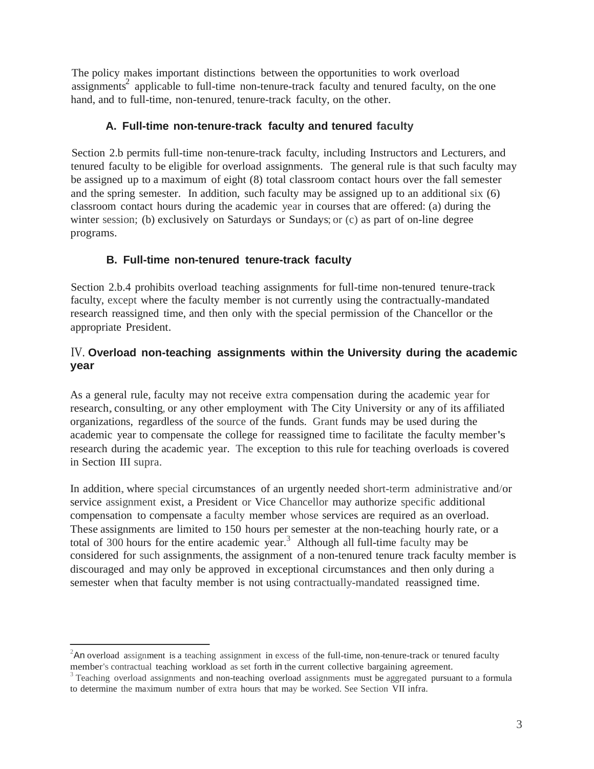The policy makes important distinctions between the opportunities to work overload assignments<sup>2</sup> applicable to full-time non-tenure-track faculty and tenured faculty, on the one hand, and to full-time, non-tenured, tenure-track faculty, on the other.

## **A. Full-time non-tenure-track faculty and tenured faculty**

Section 2.b permits full-time non-tenure-track faculty, including Instructors and Lecturers, and tenured faculty to be eligible for overload assignments. The general rule is that such faculty may be assigned up to a maximum of eight (8) total classroom contact hours over the fall semester and the spring semester. In addition, such faculty may be assigned up to an additional six (6) classroom contact hours during the academic year in courses that are offered: (a) during the winter session; (b) exclusively on Saturdays or Sundays; or (c) as part of on-line degree programs.

# **B. Full-time non-tenured tenure-track faculty**

Section 2.b.4 prohibits overload teaching assignments for full-time non-tenured tenure-track faculty, except where the faculty member is not currently using the contractually-mandated research reassigned time, and then only with the special permission of the Chancellor or the appropriate President.

# IV. **Overload non-teaching assignments within the University during the academic year**

As a general rule, faculty may not receive extra compensation during the academic year for research, consulting, or any other employment with The City University or any of its affiliated organizations, regardless of the source of the funds. Grant funds may be used during the academic year to compensate the college for reassigned time to facilitate the faculty member's research during the academic year. The exception to this rule for teaching overloads is covered in Section III supra.

In addition,where special circumstances of an urgently needed short-term administrative and/or service assignment exist, a President or Vice Chancellor may authorize specific additional compensation to compensate a faculty member whose services are required as an overload. These assignments are limited to 150 hours per semester at the non-teaching hourly rate, or a total of 300 hours for the entire academic year. 3 Although all full-time faculty may be considered for such assignments, the assignment of a non-tenured tenure track faculty member is discouraged and may only be approved in exceptional circumstances and then only during a semester when that faculty member is not using contractually-mandated reassigned time.

 $2^2$ An overload assignment is a teaching assignment in excess of the full-time, non-tenure-track or tenured faculty member's contractual teaching workload as set forth in the current collective bargaining agreement.<br><sup>3</sup> Teaching overload assignments and non-teaching overload assignments must be aggregated pursuant to a formula

to determine the maximum number of extra hours that may be worked. See Section VII infra.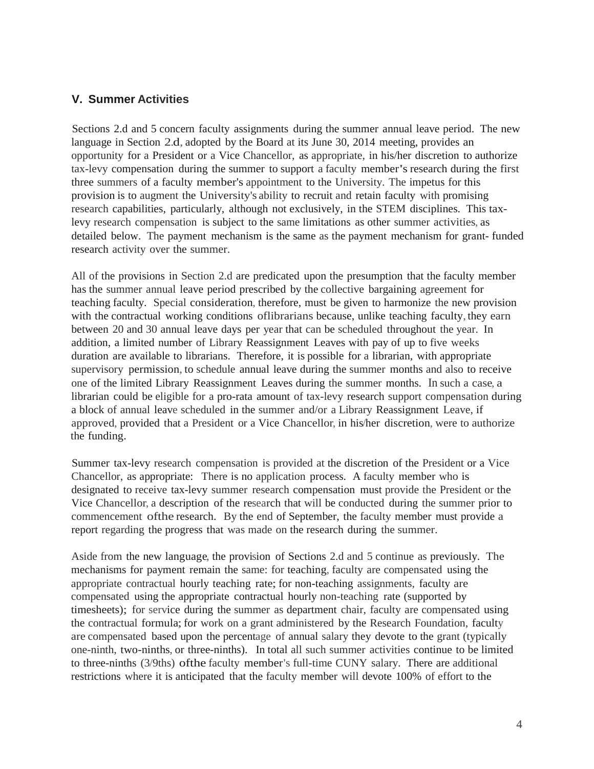#### **V. Summer Activities**

Sections 2.d and 5 concern faculty assignments during the summer annual leave period. The new language in Section 2.d, adopted by the Board at its June 30, 2014 meeting, provides an opportunity for a President or a Vice Chancellor, as appropriate, in his/her discretion to authorize tax-levy compensation during the summer to support a faculty member's research during the first three summers of a faculty member's appointment to the University. The impetus for this provision is to augment the University's ability to recruit and retain faculty with promising research capabilities, particularly, although not exclusively, in the STEM disciplines. This taxlevy research compensation is subject to the same limitations as other summer activities, as detailed below. The payment mechanism is the same as the payment mechanism for grant- funded research activity over the summer.

All of the provisions in Section 2.d are predicated upon the presumption that the faculty member has the summer annual leave period prescribed by the collective bargaining agreement for teaching faculty. Special consideration, therefore, must be given to harmonize the new provision with the contractual working conditions of librarians because, unlike teaching faculty, they earn between 20 and 30 annual leave days per year that can be scheduled throughout the year. In addition, a limited number of Library Reassignment Leaves with pay of up to five weeks duration are available to librarians. Therefore, it is possible for a librarian, with appropriate supervisory permission, to schedule annual leave during the summer months and also to receive one of the limited Library Reassignment Leaves during the summer months. In such a case, a librarian could be eligible for a pro-rata amount of tax-levy research support compensation during a block of annual leave scheduled in the summer and/or a Library Reassignment Leave, if approved, provided that a President or a Vice Chancellor, in his/her discretion, were to authorize the funding.

Summer tax-levy research compensation is provided at the discretion of the President or a Vice Chancellor, as appropriate: There is no application process. A faculty member who is designated to receive tax-levy summer research compensation must provide the President or the Vice Chancellor, a description of the research that will be conducted during the summer prior to commencement ofthe research. By the end of September, the faculty member must provide a report regarding the progress that was made on the research during the summer.

Aside from the new language, the provision of Sections 2.d and 5 continue as previously. The mechanisms for payment remain the same: for teaching, faculty are compensated using the appropriate contractual hourly teaching rate; for non-teaching assignments, faculty are compensated using the appropriate contractual hourly non-teaching rate (supported by timesheets); for service during the summer as department chair, faculty are compensated using the contractual formula;for work on <sup>a</sup> grant administered by the Research Foundation, faculty are compensated based upon the percentage of annual salary they devote to the grant (typically one-ninth, two-ninths, or three-ninths). In total all such summer activities continue to be limited to three-ninths (3/9ths) ofthe faculty member's full-time CUNY salary. There are additional restrictions where it is anticipated that the faculty member will devote 100% of effort to the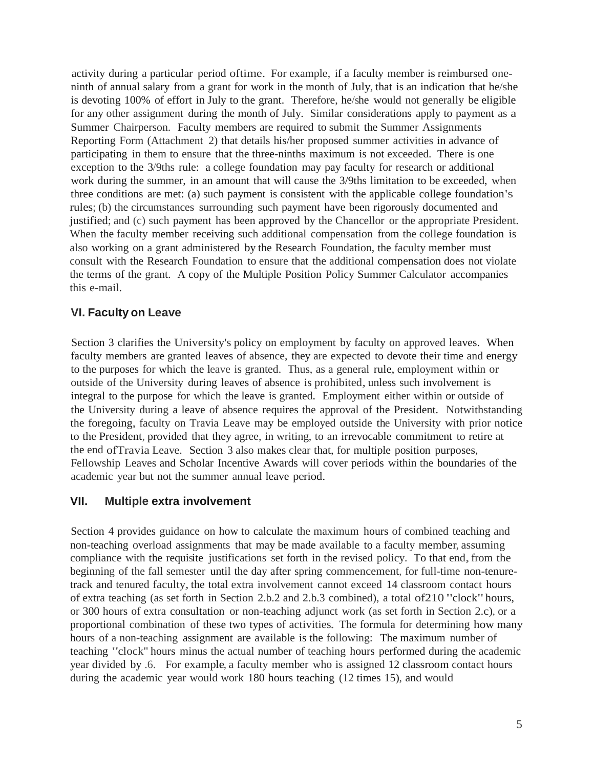activity during a particular period oftime. For example, if a faculty member is reimbursed oneninth of annual salary from a grant for work in the month of July, that is an indication that he/she is devoting 100% of effort in July to the grant. Therefore, he/she would not generally be eligible for any other assignment during the month of July. Similar considerations apply to payment as a Summer Chairperson. Faculty members are required to submit the Summer Assignments Reporting Form (Attachment 2) that details his/her proposed summer activities in advance of participating in them to ensure that the three-ninths maximum is not exceeded. There is one exception to the 3/9ths rule: a college foundation may pay faculty for research or additional work during the summer, in an amount that will cause the 3/9ths limitation to be exceeded, when three conditions are met: (a) such payment is consistent with the applicable college foundation's rules; (b) the circumstances surrounding such payment have been rigorously documented and justified; and (c) such payment has been approved by the Chancellor or the appropriate President. When the faculty member receiving such additional compensation from the college foundation is also working on a grant administered by the Research Foundation, the faculty member must consult with the Research Foundation to ensure that the additional compensation does not violate the terms of the grant. A copy of the Multiple Position Policy Summer Calculator accompanies this e-mail.

## **VI. Faculty on Leave**

Section 3 clarifies the University's policy on employment by faculty on approved leaves. When faculty members are granted leaves of absence, they are expected to devote their time and energy to the purposes for which the leave is granted. Thus, as <sup>a</sup> general rule, employment within or outside of the University during leaves of absence is prohibited, unless such involvement is integral to the purpose for which the leave is granted. Employment either within or outside of the University during a leave of absence requires the approval of the President. Notwithstanding the foregoing, faculty on Travia Leave may be employed outside the University with prior notice to the President, provided that they agree, in writing, to an irrevocable commitment to retire at the end ofTravia Leave. Section 3 also makes clear that, for multiple position purposes, Fellowship Leaves and Scholar Incentive Awards will cover periods within the boundaries of the academic year but not the summer annual leave period.

#### **VII. Multiple extra involvement**

Section 4 provides guidance on how to calculate the maximum hours of combined teaching and non-teaching overload assignments that may be made available to a faculty member, assuming compliance with the requisite justifications set forth in the revised policy. To that end, from the beginning of the fall semester until the day after spring commencement, for full-time non-tenuretrack and tenured faculty, the total extra involvement cannot exceed <sup>14</sup> classroom contact hours of extra teaching (as set forth in Section 2.b.2 and 2.b.3 combined), <sup>a</sup> total of210 "clock"hours, or 300 hours of extra consultation or non-teaching adjunct work (as set forth in Section 2.c), or a proportional combination of these two types of activities. The formula for determining how many hours of a non-teaching assignment are available is the following: The maximum number of teaching "clock" hours minus the actual number of teaching hours performed during the academic year divided by .6. For example, a faculty member who is assigned 12 classroom contact hours during the academic year would work 180 hours teaching (12 times 15), and would